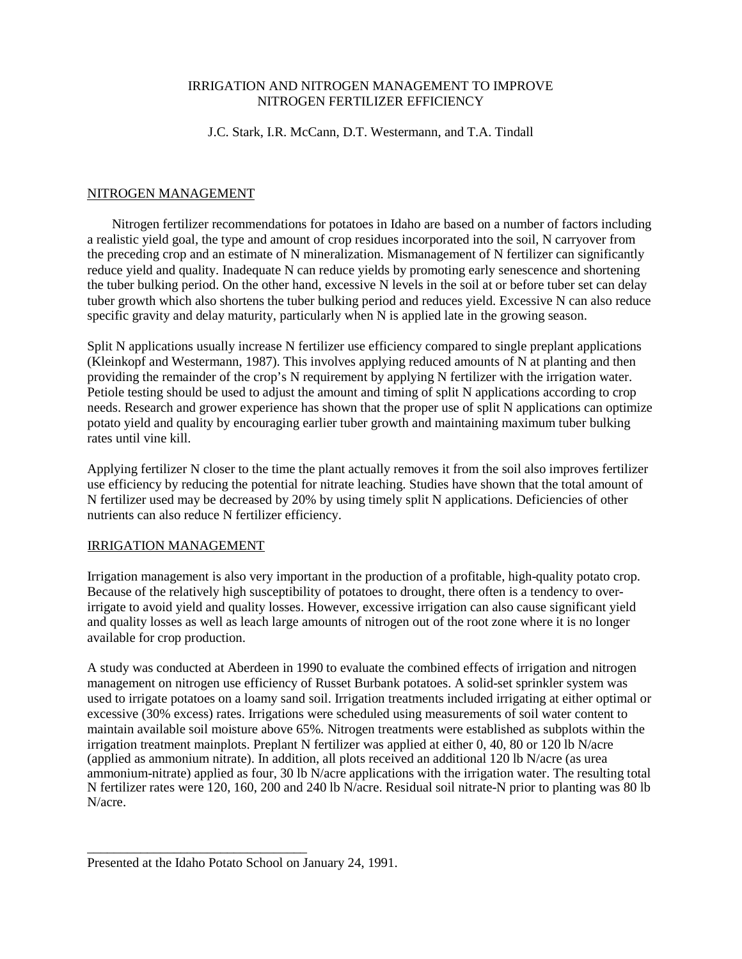### IRRIGATION AND NITROGEN MANAGEMENT TO IMPROVE NITROGEN FERTILIZER EFFICIENCY

### J.C. Stark, I.R. McCann, D.T. Westermann, and T.A. Tindall

### NITROGEN MANAGEMENT

Nitrogen fertilizer recommendations for potatoes in Idaho are based on a number of factors including a realistic yield goal, the type and amount of crop residues incorporated into the soil, N carryover from the preceding crop and an estimate of N mineralization. Mismanagement of N fertilizer can significantly reduce yield and quality. Inadequate N can reduce yields by promoting early senescence and shortening the tuber bulking period. On the other hand, excessive N levels in the soil at or before tuber set can delay tuber growth which also shortens the tuber bulking period and reduces yield. Excessive N can also reduce specific gravity and delay maturity, particularly when N is applied late in the growing season.

Split N applications usually increase N fertilizer use efficiency compared to single preplant applications (Kleinkopf and Westermann, 1987). This involves applying reduced amounts of N at planting and then providing the remainder of the crop's N requirement by applying N fertilizer with the irrigation water. Petiole testing should be used to adjust the amount and timing of split N applications according to crop needs. Research and grower experience has shown that the proper use of split N applications can optimize potato yield and quality by encouraging earlier tuber growth and maintaining maximum tuber bulking rates until vine kill.

Applying fertilizer N closer to the time the plant actually removes it from the soil also improves fertilizer use efficiency by reducing the potential for nitrate leaching. Studies have shown that the total amount of N fertilizer used may be decreased by 20% by using timely split N applications. Deficiencies of other nutrients can also reduce N fertilizer efficiency.

# IRRIGATION MANAGEMENT

Irrigation management is also very important in the production of a profitable, high-quality potato crop. Because of the relatively high susceptibility of potatoes to drought, there often is a tendency to overirrigate to avoid yield and quality losses. However, excessive irrigation can also cause significant yield and quality losses as well as leach large amounts of nitrogen out of the root zone where it is no longer available for crop production.

A study was conducted at Aberdeen in 1990 to evaluate the combined effects of irrigation and nitrogen management on nitrogen use efficiency of Russet Burbank potatoes. A solid-set sprinkler system was used to irrigate potatoes on a loamy sand soil. Irrigation treatments included irrigating at either optimal or excessive (30% excess) rates. Irrigations were scheduled using measurements of soil water content to maintain available soil moisture above 65%*.* Nitrogen treatments were established as subplots within the irrigation treatment mainplots. Preplant N fertilizer was applied at either 0, 40, 80 or 120 lb N/acre (applied as ammonium nitrate). In addition, all plots received an additional 120 lb N/acre (as urea ammonium-nitrate) applied as four, 30 lb N/acre applications with the irrigation water. The resulting total N fertilizer rates were 120, 160, 200 and 240 lb N/acre. Residual soil nitrate-N prior to planting was 80 lb N/acre.

\_\_\_\_\_\_\_\_\_\_\_\_\_\_\_\_\_\_\_\_\_\_\_\_\_\_\_\_\_\_\_\_\_

Presented at the Idaho Potato School on January 24, 1991.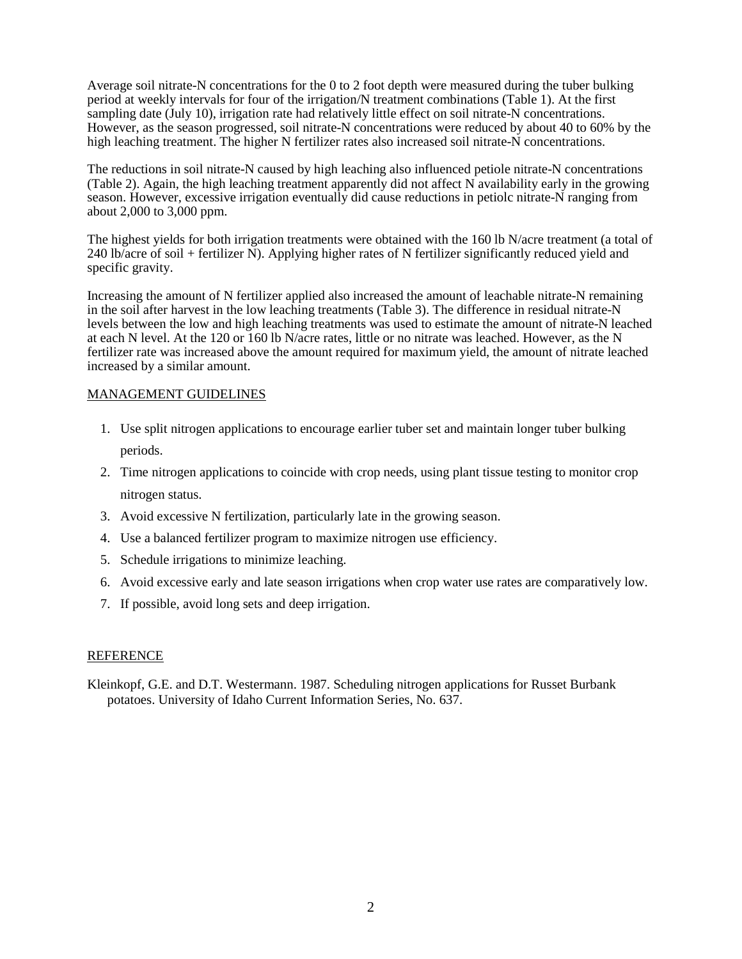Average soil nitrate-N concentrations for the 0 to 2 foot depth were measured during the tuber bulking period at weekly intervals for four of the irrigation/N treatment combinations (Table 1). At the first sampling date (July 10), irrigation rate had relatively little effect on soil nitrate-N concentrations. However, as the season progressed, soil nitrate-N concentrations were reduced by about 40 to 60% by the high leaching treatment. The higher N fertilizer rates also increased soil nitrate-N concentrations.

The reductions in soil nitrate-N caused by high leaching also influenced petiole nitrate-N concentrations (Table 2). Again, the high leaching treatment apparently did not affect N availability early in the growing season. However, excessive irrigation eventually did cause reductions in petiolc nitrate-N ranging from about 2,000 to 3,000 ppm.

The highest yields for both irrigation treatments were obtained with the 160 lb N/acre treatment (a total of 240 lb/acre of soil + fertilizer N). Applying higher rates of N fertilizer significantly reduced yield and specific gravity.

Increasing the amount of N fertilizer applied also increased the amount of leachable nitrate-N remaining in the soil after harvest in the low leaching treatments (Table 3). The difference in residual nitrate-N levels between the low and high leaching treatments was used to estimate the amount of nitrate-N leached at each N level. At the 120 or 160 lb N/acre rates, little or no nitrate was leached. However, as the N fertilizer rate was increased above the amount required for maximum yield, the amount of nitrate leached increased by a similar amount.

# MANAGEMENT GUIDELINES

- 1. Use split nitrogen applications to encourage earlier tuber set and maintain longer tuber bulking periods.
- 2. Time nitrogen applications to coincide with crop needs, using plant tissue testing to monitor crop nitrogen status.
- 3. Avoid excessive N fertilization, particularly late in the growing season.
- 4. Use a balanced fertilizer program to maximize nitrogen use efficiency.
- 5. Schedule irrigations to minimize leaching.
- 6. Avoid excessive early and late season irrigations when crop water use rates are comparatively low.
- 7. If possible, avoid long sets and deep irrigation.

# REFERENCE

Kleinkopf, G.E. and D.T. Westermann. 1987. Scheduling nitrogen applications for Russet Burbank potatoes. University of Idaho Current Information Series, No. 637.